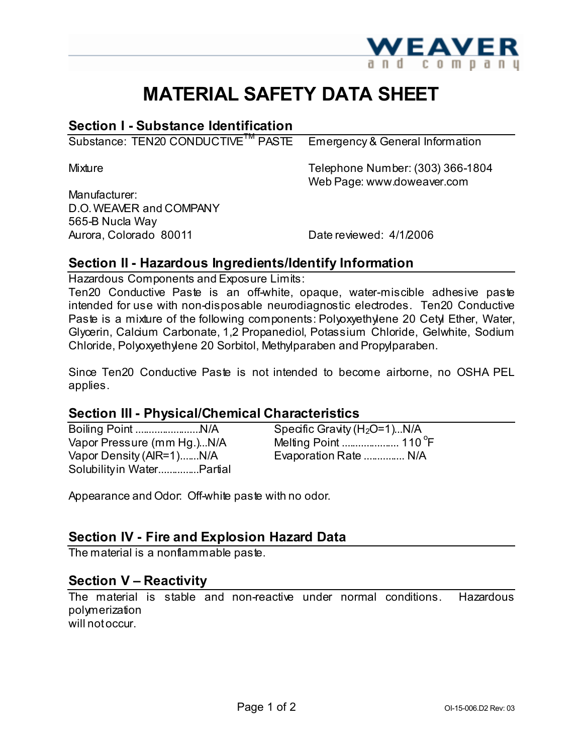

# **MATERIAL SAFETY DATA SHEET**

## **Section I - Substance Identification**

Substance: TEN20 CONDUCTIVE<sup>TM</sup> PASTE Emergency & General Information

Mixture Telephone Number: (303) 366-1804 Web Page: www.doweaver.com

Manufacturer: D.O.WEAVER and COMPANY 565-B Nucla Way Aurora, Colorado 80011 Date reviewed: 4/1/2006

# **Section II - Hazardous Ingredients/Identify Information**

Hazardous Components and Exposure Limits:

Ten20 Conductive Paste is an off-white, opaque, water-miscible adhesive paste intended for use with non-disposable neurodiagnostic electrodes. Ten20 Conductive Paste is a mixture of the following components: Polyoxyethylene 20 Cetyl Ether, Water, Glycerin, Calcium Carbonate, 1,2 Propanediol, Potassium Chloride, Gelwhite, Sodium Chloride, Polyoxyethylene 20 Sorbitol, Methylparaben and Propylparaben.

Since Ten20 Conductive Paste is not intended to become airborne, no OSHA PEL applies.

#### **Section III - Physical/Chemical Characteristics**

Boiling Point ........................N/A Specific Gravity (H2O=1)...N/A Vapor Pressure (mm Hg.)...N/A Vapor Density (AIR=1).......N/A Evaporation Rate ............... N/A Solubilityin Water...............Partial

F

Appearance and Odor: Off-white paste with no odor.

## **Section IV - Fire and Explosion Hazard Data**

The material is a nonflammable paste.

## **Section V – Reactivity**

The material is stable and non-reactive under normal conditions. Hazardous polymerization will notoccur.